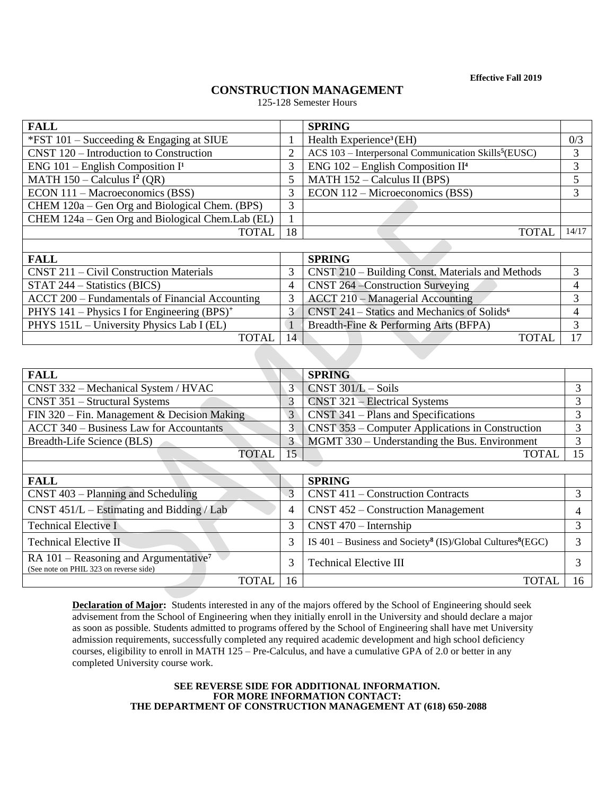**Effective Fall 2019**

# **CONSTRUCTION MANAGEMENT**

125-128 Semester Hours

| <b>FALL</b>                                               |                    | <b>SPRING</b>                                                    |    |  |  |
|-----------------------------------------------------------|--------------------|------------------------------------------------------------------|----|--|--|
| *FST $101$ – Succeeding & Engaging at SIUE                |                    | Health Experience <sup>3</sup> (EH)                              |    |  |  |
| CNST 120 – Introduction to Construction                   | 2                  | ACS 103 - Interpersonal Communication Skills <sup>5</sup> (EUSC) |    |  |  |
| ENG $101$ – English Composition I <sup>1</sup>            | 3                  | ENG $102$ – English Composition II <sup>4</sup>                  |    |  |  |
| MATH $150 -$ Calculus I <sup>2</sup> (QR)                 | 5                  | MATH 152 - Calculus II (BPS)                                     |    |  |  |
| ECON 111 – Macroeconomics (BSS)                           | 3                  | ECON 112 – Microeconomics (BSS)                                  |    |  |  |
| CHEM 120a – Gen Org and Biological Chem. (BPS)            | 3                  |                                                                  |    |  |  |
| CHEM 124a – Gen Org and Biological Chem.Lab (EL)          |                    |                                                                  |    |  |  |
| <b>TOTAL</b>                                              | 18<br><b>TOTAL</b> |                                                                  |    |  |  |
|                                                           |                    |                                                                  |    |  |  |
| <b>FALL</b>                                               |                    | <b>SPRING</b>                                                    |    |  |  |
| CNST 211 – Civil Construction Materials                   | 3                  | CNST 210 - Building Const. Materials and Methods                 | 3  |  |  |
| $STAT 244 - Statistics (BICS)$                            | 4                  | CNST 264 – Construction Surveying                                | 4  |  |  |
| ACCT 200 - Fundamentals of Financial Accounting           | 3                  | ACCT 210 – Managerial Accounting                                 |    |  |  |
| PHYS $141$ – Physics I for Engineering (BPS) <sup>+</sup> | 3                  | CNST 241 – Statics and Mechanics of Solids <sup>6</sup>          |    |  |  |
| PHYS 151L - University Physics Lab I (EL)                 |                    | Breadth-Fine & Performing Arts (BFPA)                            | 3  |  |  |
| <b>TOTAL</b>                                              | 14                 | <b>TOTAL</b>                                                     | 17 |  |  |

| <b>FALL</b>                                                                                   |                                               | <b>SPRING</b>                                                                               |    |  |  |  |  |
|-----------------------------------------------------------------------------------------------|-----------------------------------------------|---------------------------------------------------------------------------------------------|----|--|--|--|--|
| CNST 332 – Mechanical System / HVAC                                                           | 3                                             | $CNST 301/L - Soils$                                                                        |    |  |  |  |  |
| $CNST$ 351 – Structural Systems                                                               | 3                                             | $CNST 321 - Electrical Systems$                                                             |    |  |  |  |  |
| FIN 320 – Fin. Management & Decision Making                                                   | 3                                             | $CNST$ 341 – Plans and Specifications                                                       |    |  |  |  |  |
| <b>ACCT 340 – Business Law for Accountants</b>                                                | 3                                             | CNST 353 – Computer Applications in Construction                                            |    |  |  |  |  |
| Breadth-Life Science (BLS)                                                                    | 3                                             | MGMT 330 – Understanding the Bus. Environment                                               |    |  |  |  |  |
| <b>TOTAL</b>                                                                                  | 15                                            | <b>TOTAL</b>                                                                                | 15 |  |  |  |  |
|                                                                                               |                                               |                                                                                             |    |  |  |  |  |
| <b>FALL</b>                                                                                   |                                               | <b>SPRING</b>                                                                               |    |  |  |  |  |
| $CNST 403 - Planning$ and Scheduling                                                          | 3<br><b>CNST 411 – Construction Contracts</b> |                                                                                             |    |  |  |  |  |
| CNST $451/L$ – Estimating and Bidding / Lab                                                   | 4<br>$CNST 452$ – Construction Management     |                                                                                             |    |  |  |  |  |
| <b>Technical Elective I</b>                                                                   | 3                                             | $CNST 470 - Internship$                                                                     | 3  |  |  |  |  |
| Technical Elective II                                                                         | 3                                             | IS $401 - \text{Business}$ and Society <sup>8</sup> (IS)/Global Cultures <sup>8</sup> (EGC) |    |  |  |  |  |
| RA $101$ – Reasoning and Argumentative <sup>7</sup><br>(See note on PHIL 323 on reverse side) | 3                                             | <b>Technical Elective III</b>                                                               |    |  |  |  |  |
| <b>TOTAL</b>                                                                                  | 16                                            | <b>TOTAL</b>                                                                                | 16 |  |  |  |  |

**Declaration of Major:** Students interested in any of the majors offered by the School of Engineering should seek advisement from the School of Engineering when they initially enroll in the University and should declare a major as soon as possible. Students admitted to programs offered by the School of Engineering shall have met University admission requirements, successfully completed any required academic development and high school deficiency courses, eligibility to enroll in MATH 125 – Pre-Calculus, and have a cumulative GPA of 2.0 or better in any completed University course work.

## **SEE REVERSE SIDE FOR ADDITIONAL INFORMATION. FOR MORE INFORMATION CONTACT: THE DEPARTMENT OF CONSTRUCTION MANAGEMENT AT (618) 650-2088**